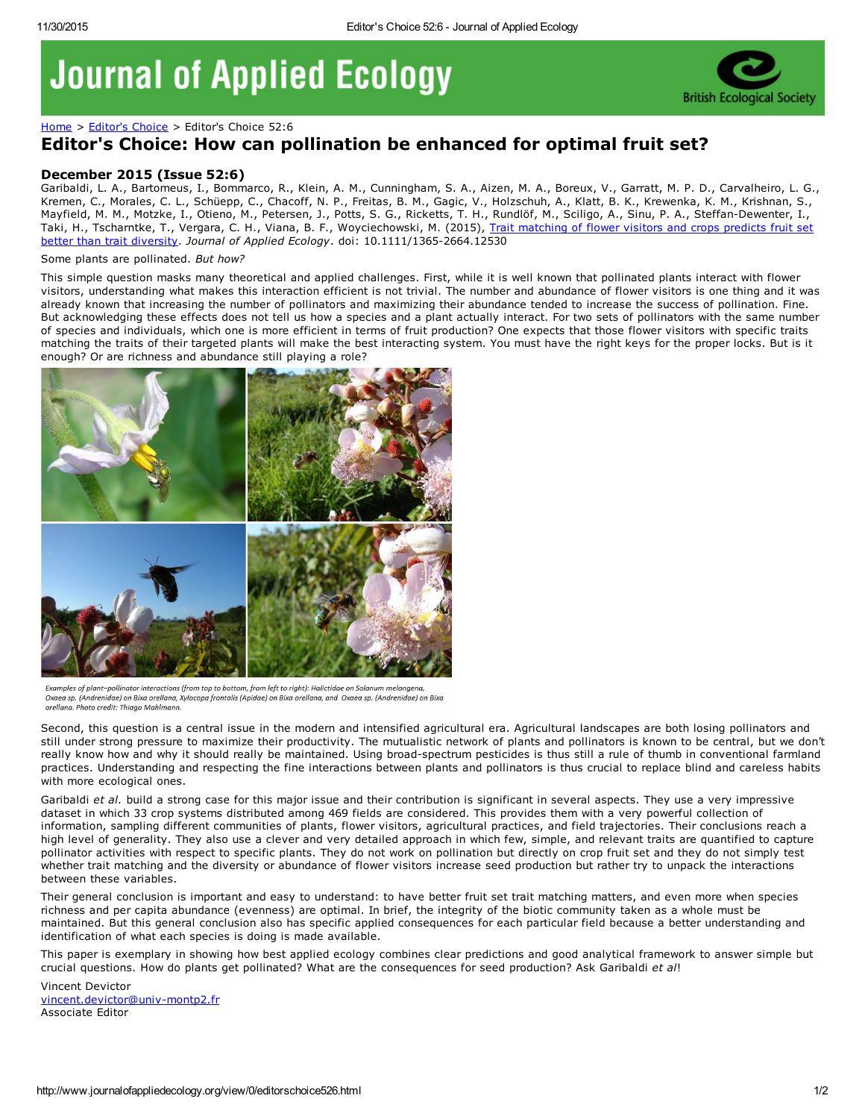## **Journal of Applied Ecology**



[Home](http://www.journalofappliedecology.org/view/0/index.html) > [Editor's](http://www.journalofappliedecology.org/view/0/editorChoice.html) Choice > Editor's Choice 52:6

## Editor's Choice: How can pollination be enhanced for optimal fruit set?

## December 2015 (Issue 52:6)

Garibaldi, L. A., Bartomeus, I., Bommarco, R., Klein, A. M., Cunningham, S. A., Aizen, M. A., Boreux, V., Garratt, M. P. D., Carvalheiro, L. G., Kremen, C., Morales, C. L., Schüepp, C., Chacoff, N. P., Freitas, B. M., Gagic, V., Holzschuh, A., Klatt, B. K., Krewenka, K. M., Krishnan, S., Mayfield, M. M., Motzke, I., Otieno, M., Petersen, J., Potts, S. G., Ricketts, T. H., Rundlöf, M., Sciligo, A., Sinu, P. A., Steffan-Dewenter, I., Taki, H., Tscharntke, T., Vergara, C. H., Viana, B. F., Woyciechowski, M. (2015), Trait matching of flower visitors and crops predicts fruit set better than trait diversity. *Journal of Applied Ecology*. doi: [10.1111/13652664.12530](http://onlinelibrary.wiley.com/doi/10.1111/1365-2664.12530/full)

## Some plants are pollinated. *But how?*

This simple question masks many theoretical and applied challenges. First, while it is well known that pollinated plants interact with flower visitors, understanding what makes this interaction efficient is not trivial. The number and abundance of flower visitors is one thing and it was already known that increasing the number of pollinators and maximizing their abundance tended to increase the success of pollination. Fine. But acknowledging these effects does not tell us how a species and a plant actually interact. For two sets of pollinators with the same number of species and individuals, which one is more efficient in terms of fruit production? One expects that those flower visitors with specific traits matching the traits of their targeted plants will make the best interacting system. You must have the right keys for the proper locks. But is it enough? Or are richness and abundance still playing a role?



Examples of plant-pollinator interactions (from top to bottom, from left to right): Halictidae on Solanum melongena Oxaea sp. (Andrenidae) on Bixa orellana, Xylocopa frontalis (Apidae) on Bixa orellana, and Oxaea sp. (Andrenidae) on Bixa orellana. Photo credit: Thiago Mahlmanı

Second, this question is a central issue in the modern and intensified agricultural era. Agricultural landscapes are both losing pollinators and still under strong pressure to maximize their productivity. The mutualistic network of plants and pollinators is known to be central, but we don't really know how and why it should really be maintained. Using broad-spectrum pesticides is thus still a rule of thumb in conventional farmland practices. Understanding and respecting the fine interactions between plants and pollinators is thus crucial to replace blind and careless habits with more ecological ones.

Garibaldi *et al.* build a strong case for this major issue and their contribution is significant in several aspects. They use a very impressive dataset in which 33 crop systems distributed among 469 fields are considered. This provides them with a very powerful collection of information, sampling different communities of plants, flower visitors, agricultural practices, and field trajectories. Their conclusions reach a high level of generality. They also use a clever and very detailed approach in which few, simple, and relevant traits are quantified to capture pollinator activities with respect to specific plants. They do not work on pollination but directly on crop fruit set and they do not simply test whether trait matching and the diversity or abundance of flower visitors increase seed production but rather try to unpack the interactions between these variables.

Their general conclusion is important and easy to understand: to have better fruit set trait matching matters, and even more when species richness and per capita abundance (evenness) are optimal. In brief, the integrity of the biotic community taken as a whole must be maintained. But this general conclusion also has specific applied consequences for each particular field because a better understanding and identification of what each species is doing is made available.

This paper is exemplary in showing how best applied ecology combines clear predictions and good analytical framework to answer simple but crucial questions. How do plants get pollinated? What are the consequences for seed production? Ask Garibaldi *et al*!

Vincent Devictor vincent.devictor@univ-montp2.fr Associate Editor